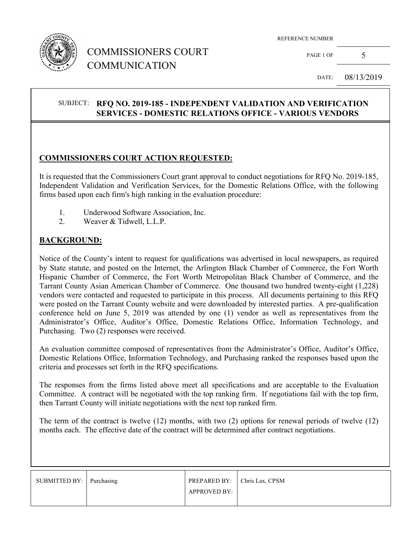

## COMMISSIONERS COURT COMMUNICATION

REFERENCE NUMBER

PAGE 1 OF  $5$ 

DATE: 08/13/2019

#### SUBJECT: **RFQ NO. 2019-185 - INDEPENDENT VALIDATION AND VERIFICATION SERVICES - DOMESTIC RELATIONS OFFICE - VARIOUS VENDORS**

#### **COMMISSIONERS COURT ACTION REQUESTED:**

It is requested that the Commissioners Court grant approval to conduct negotiations for RFQ No. 2019-185, Independent Validation and Verification Services, for the Domestic Relations Office, with the following firms based upon each firm's high ranking in the evaluation procedure:

- 1. Underwood Software Association, Inc.<br>2. Weaver & Tidwell, L.L.P.
- Weaver & Tidwell, L.L.P.

#### **BACKGROUND:**

Notice of the County's intent to request for qualifications was advertised in local newspapers, as required by State statute, and posted on the Internet, the Arlington Black Chamber of Commerce, the Fort Worth Hispanic Chamber of Commerce, the Fort Worth Metropolitan Black Chamber of Commerce, and the Tarrant County Asian American Chamber of Commerce. One thousand two hundred twenty-eight (1,228) vendors were contacted and requested to participate in this process. All documents pertaining to this RFQ were posted on the Tarrant County website and were downloaded by interested parties. A pre-qualification conference held on June 5, 2019 was attended by one (1) vendor as well as representatives from the Administrator's Office, Auditor's Office, Domestic Relations Office, Information Technology, and Purchasing. Two (2) responses were received.

An evaluation committee composed of representatives from the Administrator's Office, Auditor's Office, Domestic Relations Office, Information Technology, and Purchasing ranked the responses based upon the criteria and processes set forth in the RFQ specifications.

The responses from the firms listed above meet all specifications and are acceptable to the Evaluation Committee. A contract will be negotiated with the top ranking firm. If negotiations fail with the top firm, then Tarrant County will initiate negotiations with the next top ranked firm.

The term of the contract is twelve (12) months, with two (2) options for renewal periods of twelve (12) months each. The effective date of the contract will be determined after contract negotiations.

| SUBMITTED BY: Purchasing | <b>PREPARED BY:</b> | Chris Lax, CPSM |
|--------------------------|---------------------|-----------------|
|                          | APPROVED BY:        |                 |